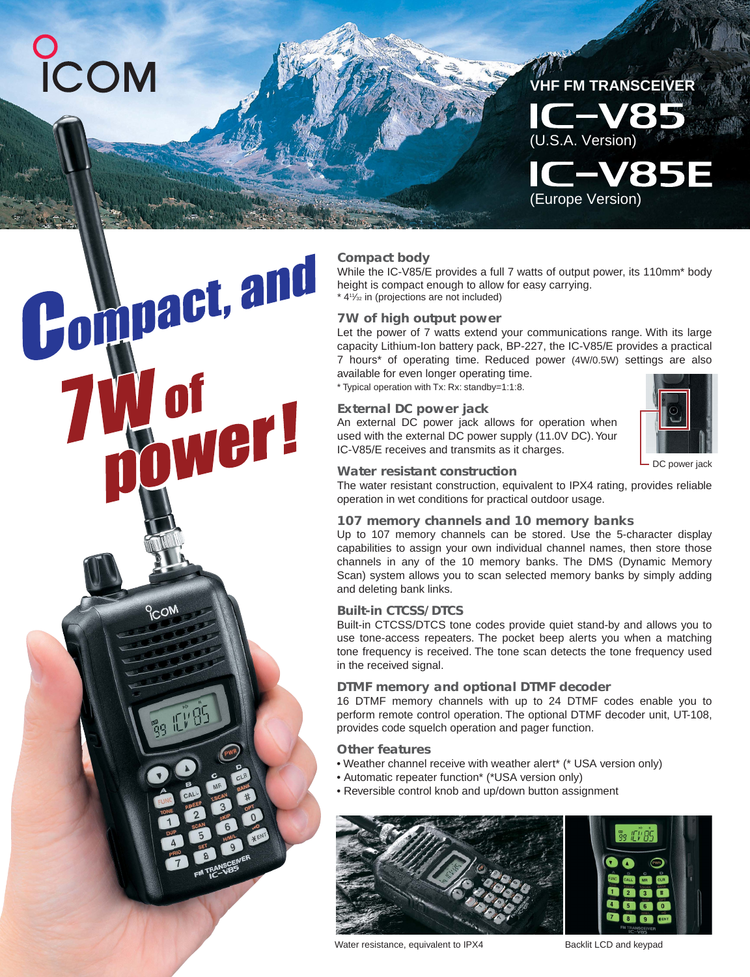# COM

Compact, and

**PCON** 

hwer!



### **Compact body**

While the IC-V85/E provides a full 7 watts of output power, its 110mm<sup>\*</sup> body height is compact enough to allow for easy carrying.  $*$  4<sup>1</sup>/<sub>32</sub> in (projections are not included)

### **7W of high output power**

Let the power of 7 watts extend your communications range. With its large capacity Lithium-Ion battery pack, BP-227, the IC-V85/E provides a practical 7 hours\* of operating time. Reduced power (4W/0.5W) settings are also available for even longer operating time.

\* Typical operation with Tx: Rx: standby=1:1:8.

### **External DC power jack**

An external DC power jack allows for operation when used with the external DC power supply (11.0V DC). Your IC-V85/E receives and transmits as it charges.



DC power jack

### **Water resistant construction**

The water resistant construction, equivalent to IPX4 rating, provides reliable operation in wet conditions for practical outdoor usage.

### **107 memory channels and 10 memory banks**

Up to 107 memory channels can be stored. Use the 5-character display capabilities to assign your own individual channel names, then store those channels in any of the 10 memory banks. The DMS (Dynamic Memory Scan) system allows you to scan selected memory banks by simply adding and deleting bank links.

### **Built-in CTCSS/DTCS**

Built-in CTCSS/DTCS tone codes provide quiet stand-by and allows you to use tone-access repeaters. The pocket beep alerts you when a matching tone frequency is received. The tone scan detects the tone frequency used in the received signal.

### **DTMF memory and optional DTMF decoder**

16 DTMF memory channels with up to 24 DTMF codes enable you to perform remote control operation. The optional DTMF decoder unit, UT-108, provides code squelch operation and pager function.

### **Other features**

- Weather channel receive with weather alert\* (\* USA version only)
- Automatic repeater function\* (\*USA version only)
- Reversible control knob and up/down button assignment



Water resistance, equivalent to IPX4 Backlit LCD and keypad